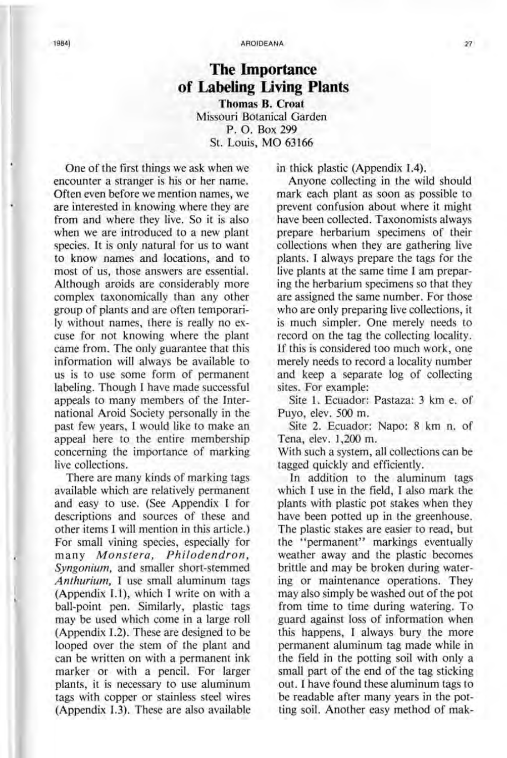#### 1984J AROIDEANA 27

# **The Importance of Labeling Living Plants**

**Thomas B. Croat**  Missouri Botanical Garden P. O. Box 299 St. Louis, MO 63166

One of the first things we ask when we encounter a stranger is his or her name. Often even before we mention names, we are interested in knowing where they are from and where they live. So it is also when we are introduced to a new plant species. It is only natural for us to want to know names and locations, and to most of us, those answers are essential. Although aroids are considerably more complex taxonomically than any other group of plants and are often temporarily without names, there is really no excuse for not knowing where the plant came from. The only guarantee that this information will always be available to us is to use some form of permanent labeling. Though I have made successful appeals to many members of the International Aroid Society personally in the past few years, I would like to make an appeal here to the entire membership concerning the importance of marking live collections.

There are many kinds of marking tags available which are relatively permanent and easy to use. (See Appendix I for descriptions and sources of these and other items I will mention in this article.) For small vining species, especially for many *Monstera, Philodendron, Syngonium,* and smaller short-stemmed *Anthurium,* I use small aluminum tags (Appendix 1.1), which I write on with a ball-point pen. Similarly, plastic tags may be used which come in a large roll (Appendix 1.2). These are designed to be looped over the stem of the plant and can be written on with a permanent ink marker or with a pencil. For larger plants, it is necessary to use aluminum tags with copper or stainless steel wires (Appendix 1.3). These are also available

in thick plastic (Appendix 1.4).

Anyone collecting in the wild should mark each plant as soon as possible to prevent confusion about where it might have been collected. Taxonomists always prepare herbarium specimens of their collections when they are gathering live plants. I always prepare the tags for the live plants at the same time I am preparing the herbarium specimens so that they are assigned the same number. For those who are only preparing live collections, it is much simpler. One merely needs to record on the tag the collecting locality. If this is considered too much work, one merely needs to record a locality number and keep a separate log of collecting sites. For example:

Site 1. Ecuador: Pastaza: 3 km e. of Puyo, elev. 500 m.

Site 2. Ecuador: Napo: 8 km n. of Tena, elev. 1,200 m.

With such a system, all collections can be tagged quickly and efficiently.

In addition to the aluminum tags which I use in the field, I also mark the plants with plastic pot stakes when they have been potted up in the greenhouse. The plastic stakes are easier to read, but the "permanent" markings eventually weather away and the plastic becomes brittle and may be broken during watering or maintenance operations. They may also simply be washed out of the pot from time to time during watering. To guard against loss of information when this happens, I always bury the more permanent aluminum tag made while in the field in the potting soil with only a small part of the end of the tag sticking out. I have found these aluminum tags to be readable after many years in the potting soil. Another easy method of mak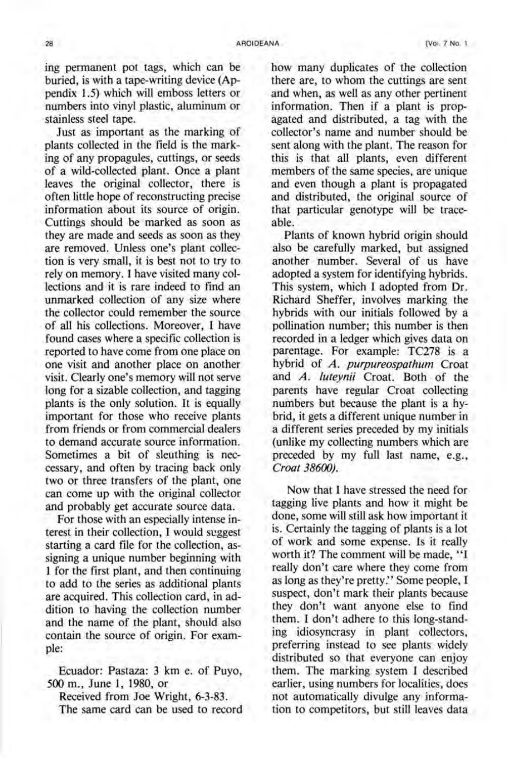ing permanent pot tags, which can be buried, is with a tape-writing device (Appendix 1.5) which will emboss letters or numbers into vinyl plastic, aluminum or stainless steel tape.

Just as important as the marking of plants collected in the field is the marking of any propagules, cuttings, or seeds of a wild-collected plant. Once a plant leaves the original collector, there is often little hope of reconstructing precise information about its source of origin. Cuttings should be marked as soon as they are made and seeds as soon as they are removed. Unless one's plant collection is very small, it is best not to try to rely on memory. I have visited many collections and it is rare indeed to find an unmarked collection of any size where the collector could remember the source of all his collections. Moreover, I have found cases where a specific collection is reported to have come from one place on one visit and another place on another visit. Clearly one's memory will not serve long for a sizable collection, and tagging plants is the only solution. It is equally important for those who receive plants from friends or from commercial dealers to demand accurate source information. Sometimes a bit of sleuthing is neccessary, and often by tracing back only two or three transfers of the plant, one can come up with the original collector and probably get accurate source data.

For those with an especially intense interest in their collection, I would seggest starting a card file for the collection, assigning a unique number beginning with 1 for the first plant, and then continuing to add to the series as additional plants are acquired. This collection card, in addition to having the collection number and the name of the plant, should also contain the source of origin. For example:

Ecuador: Pastaza: 3 km e. of Puyo, 500 m., June 1, 1980, or

Received from Joe Wright, 6-3-83. The same card can be used to record how many duplicates of the collection there are, to whom the cuttings are sent and when, as well as any other pertinent information. Then if a plant is propagated and distributed, a tag with the collector's name and number should be sent along with the plant. The reason for this is that all plants, even different members of the same species, are unique and even though a plant is propagated and distributed, the original source of that particular genotype will be traceable.

Plants of known hybrid origin should also be carefully marked, but assigned another number. Several of us have adopted a system for identifying hybrids. This system, which I adopted from Dr. Richard Sheffer, involves marking the hybrids with our initials followed by a pollination number; this number is then recorded in a ledger which gives data on parentage. For example: TC278 is a hybrid of *A. purpureospathum* Croat and *A. luteynii* Croat. Both of the parents have regular Croat collecting numbers but because the plant is a hybrid, it gets a different unique number in a different series preceded by my initials (unlike my collecting numbers which are preceded by my full last name, e.g., *Croat 386(0).* 

Now that I have stressed the need for tagging live plants and how it might be done, some will still ask how important it is. Certainly the tagging of plants is a lot of work and some expense. Is it really worth it? The comment will be made, "I really don't care where they come from as long as they're pretty." Some people, I suspect, don't mark their plants because they don't want anyone else to find them. I don't adhere to this long-standing idiosyncrasy in plant collectors, preferring instead to see plants widely distributed so that everyone can enjoy them. The marking system I described earlier, using numbers for localities, does not automatically divulge any information to competitors, but still leaves data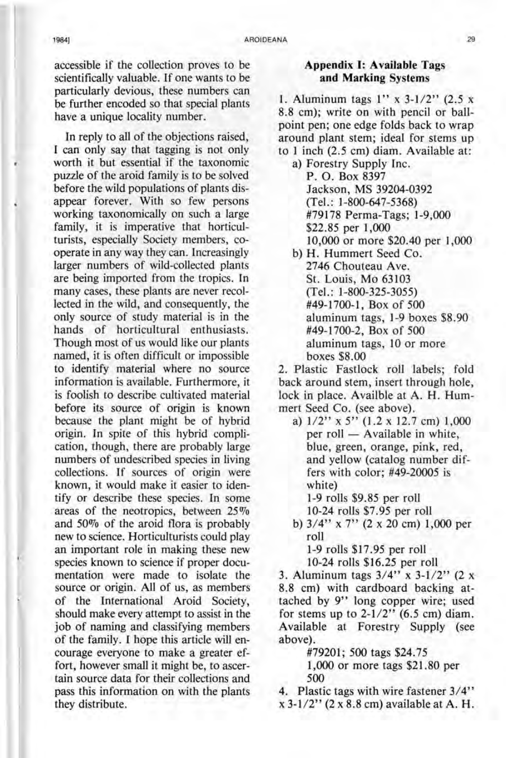accessible if the collection proves to be scientifically valuable. If one wants to be particularly devious, these numbers can be further encoded so that special plants have a unique locality number.

In reply to all of the objections raised, I can only say that tagging is not only worth it but essential if the taxonomic puzzle of the aroid family is to be solved before the wild populations of plants disappear forever. With so few persons working taxonomically on such a large family, it is imperative that horticulturists, especially Society members, cooperate in any way they can. Increasingly larger numbers of wild-collected plants are being imported from the tropics. In many cases, these plants are never recollected in the wild, and consequently, the only source of study material is in the hands of horticultural enthusiasts. Though most of us would like our plants named, it is often difficult or impossible to identify material where no source information is available. Furthermore, it is foolish to describe cultivated material before its source of origin is known because the plant might be of hybrid origin. In spite of this hybrid complication, though, there are probably large numbers of undescribed species in living collections. If sources of origin were known, it would make it easier to identify or describe these species. In some areas of the neotropics, between  $25\%$ and 50% of the aroid flora is probably new to science. Horticulturists could play an important role in making these new species known to science if proper documentation were made to isolate the source or origin. All of us, as members of the International Aroid Society, should make every attempt to assist in the job of naming and classifying members of the family. I hope this article will encourage everyone to make a greater effort, however small it might be, to ascertain source data for their collections and pass this information on with the plants they distribute.

### **Appendix I: Available** Tags **and Marking** Systems

1. Aluminum tags  $1''$  x  $3-1/2''$  (2.5 x 8.8 cm); write on with pencil or ballpoint pen; one edge folds back to wrap around plant stem; ideal for stems up to 1 inch (2.5 cm) diam. Available at:

- a) Forestry Supply Inc. P. O. Box 8397 Jackson, MS 39204-0392 (Tel.: 1-800-647-5368) #79178 Perma-Tags; 1-9,000 \$22.85 per 1,000 10,000 or more \$20.40 per 1,000
- b) H. Hummert Seed Co. 2746 Chouteau Ave. St. Louis, Mo 63103 (Tel.: 1-800-325-3055) #49-1700-1, Box of 500 aluminum tags, 1-9 boxes \$8.90 #49-1700-2, Box of 500 aluminum tags, 10 or more boxes \$8.00

2. Plastic Fastlock roll labels; fold back around stem, insert through hole, lock in place. Availble at A. H. Hummert Seed Co. (see above).

a)  $1/2$ " x 5" (1.2 x 12.7 cm) 1,000 per roll - Available in white, blue, green, orange, pink, red, and yellow (catalog number differs with color; #49-20005 is white)

1-9 rolls \$9.85 per roll

- 10-24 rolls \$7.95 per roll
- b) 3/4" x 7" (2 x 20 cm) 1,000 per roll

1-9 rolls \$17.95 per roll 10-24 rolls \$16.25 per roll

3. Aluminum tags  $3/4$ " x  $3-1/2$ " (2 x 8.8 cm) with cardboard backing attached by 9" long copper wire; used for stems up to  $2-1/2$ " (6.5 cm) diam. Available at Forestry Supply (see above).

#79201; 500 tags \$24.75

1,000 or more tags \$21.80 per 500

4. Plastic tags with wire fastener 3/4"  $x 3-1/2$ " (2 x 8.8 cm) available at A. H.